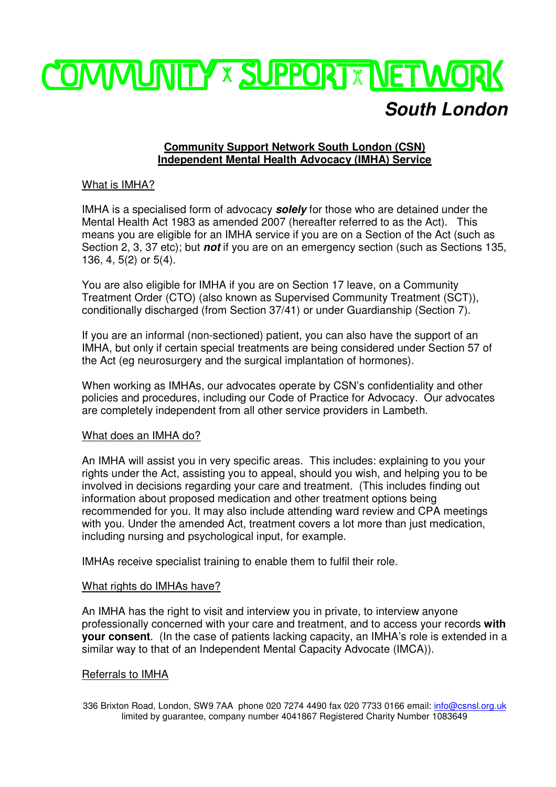

# **Community Support Network South London (CSN) Independent Mental Health Advocacy (IMHA) Service**

# What is IMHA?

IMHA is a specialised form of advocacy **solely** for those who are detained under the Mental Health Act 1983 as amended 2007 (hereafter referred to as the Act). This means you are eligible for an IMHA service if you are on a Section of the Act (such as Section 2, 3, 37 etc); but **not** if you are on an emergency section (such as Sections 135, 136, 4, 5(2) or 5(4).

You are also eligible for IMHA if you are on Section 17 leave, on a Community Treatment Order (CTO) (also known as Supervised Community Treatment (SCT)), conditionally discharged (from Section 37/41) or under Guardianship (Section 7).

If you are an informal (non-sectioned) patient, you can also have the support of an IMHA, but only if certain special treatments are being considered under Section 57 of the Act (eg neurosurgery and the surgical implantation of hormones).

When working as IMHAs, our advocates operate by CSN's confidentiality and other policies and procedures, including our Code of Practice for Advocacy. Our advocates are completely independent from all other service providers in Lambeth.

## What does an IMHA do?

An IMHA will assist you in very specific areas. This includes: explaining to you your rights under the Act, assisting you to appeal, should you wish, and helping you to be involved in decisions regarding your care and treatment. (This includes finding out information about proposed medication and other treatment options being recommended for you. It may also include attending ward review and CPA meetings with you. Under the amended Act, treatment covers a lot more than just medication, including nursing and psychological input, for example.

IMHAs receive specialist training to enable them to fulfil their role.

## What rights do IMHAs have?

An IMHA has the right to visit and interview you in private, to interview anyone professionally concerned with your care and treatment, and to access your records **with your consent**. (In the case of patients lacking capacity, an IMHA's role is extended in a similar way to that of an Independent Mental Capacity Advocate (IMCA)).

#### Referrals to IMHA

336 Brixton Road, London, SW9 7AA phone 020 7274 4490 fax 020 7733 0166 email: info@csnsl.org.uk limited by guarantee, company number 4041867 Registered Charity Number 1083649